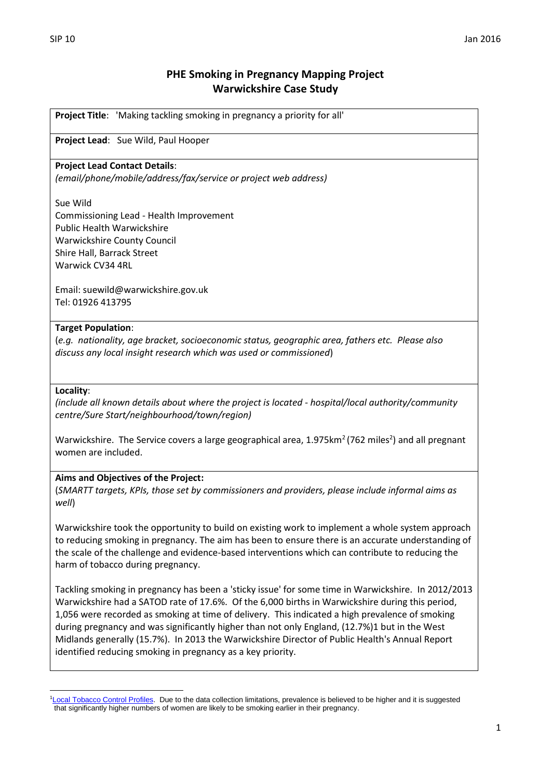# **PHE Smoking in Pregnancy Mapping Project Warwickshire Case Study**

**Project Title**: 'Making tackling smoking in pregnancy a priority for all'

## **Project Lead**: Sue Wild, Paul Hooper

### **Project Lead Contact Details**:

*(email/phone/mobile/address/fax/service or project web address)*

#### Sue Wild

Commissioning Lead - Health Improvement Public Health Warwickshire Warwickshire County Council Shire Hall, Barrack Street Warwick CV34 4RL

Email: suewild@warwickshire.gov.uk Tel: 01926 413795

### **Target Population**:

(*e.g. nationality, age bracket, socioeconomic status, geographic area, fathers etc. Please also discuss any local insight research which was used or commissioned*)

### **Locality**:

*(include all known details about where the project is located - hospital/local authority/community centre/Sure Start/neighbourhood/town/region)*

Warwickshire. The Service covers a large geographical area,  $1.975$ km<sup>2</sup> (762 miles<sup>2</sup>) and all pregnant women are included.

### **Aims and Objectives of the Project:**

(*SMARTT targets, KPIs, those set by commissioners and providers, please include informal aims as well*)

Warwickshire took the opportunity to build on existing work to implement a whole system approach to reducing smoking in pregnancy. The aim has been to ensure there is an accurate understanding of the scale of the challenge and evidence-based interventions which can contribute to reducing the harm of tobacco during pregnancy.

Tackling smoking in pregnancy has been a 'sticky issue' for some time in Warwickshire. In 2012/2013 Warwickshire had a SATOD rate of 17.6%. Of the 6,000 births in Warwickshire during this period, 1,056 were recorded as smoking at time of delivery. This indicated a high prevalence of smoking during pregnancy and was significantly higher than not only England, (12.7%)1 but in the West Midlands generally (15.7%). In 2013 the Warwickshire Director of Public Health's Annual Report identified reducing smoking in pregnancy as a key priority.

 $\overline{a}$ <sup>1</sup>[Local Tobacco Control Profiles.](http://www.tobaccoprofiles.info/) Due to the data collection limitations, prevalence is believed to be higher and it is suggested that significantly higher numbers of women are likely to be smoking earlier in their pregnancy.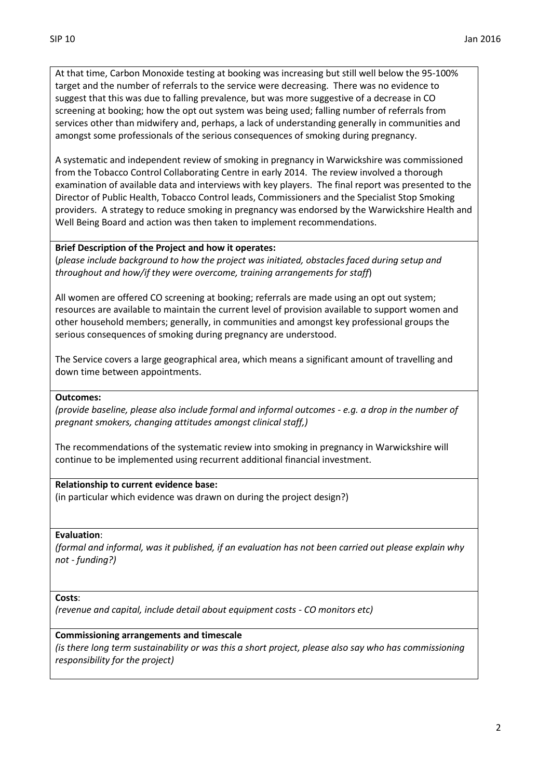At that time, Carbon Monoxide testing at booking was increasing but still well below the 95-100% target and the number of referrals to the service were decreasing. There was no evidence to suggest that this was due to falling prevalence, but was more suggestive of a decrease in CO screening at booking; how the opt out system was being used; falling number of referrals from services other than midwifery and, perhaps, a lack of understanding generally in communities and amongst some professionals of the serious consequences of smoking during pregnancy.

A systematic and independent review of smoking in pregnancy in Warwickshire was commissioned from the Tobacco Control Collaborating Centre in early 2014. The review involved a thorough examination of available data and interviews with key players. The final report was presented to the Director of Public Health, Tobacco Control leads, Commissioners and the Specialist Stop Smoking providers. A strategy to reduce smoking in pregnancy was endorsed by the Warwickshire Health and Well Being Board and action was then taken to implement recommendations.

### **Brief Description of the Project and how it operates:**

(*please include background to how the project was initiated, obstacles faced during setup and throughout and how/if they were overcome, training arrangements for staff*)

All women are offered CO screening at booking; referrals are made using an opt out system; resources are available to maintain the current level of provision available to support women and other household members; generally, in communities and amongst key professional groups the serious consequences of smoking during pregnancy are understood.

The Service covers a large geographical area, which means a significant amount of travelling and down time between appointments.

### **Outcomes:**

*(provide baseline, please also include formal and informal outcomes - e.g. a drop in the number of pregnant smokers, changing attitudes amongst clinical staff,)*

The recommendations of the systematic review into smoking in pregnancy in Warwickshire will continue to be implemented using recurrent additional financial investment.

### **Relationship to current evidence base:**

(in particular which evidence was drawn on during the project design?)

### **Evaluation**:

*(formal and informal, was it published, if an evaluation has not been carried out please explain why not - funding?)*

#### **Costs**:

*(revenue and capital, include detail about equipment costs - CO monitors etc)*

### **Commissioning arrangements and timescale**

*(is there long term sustainability or was this a short project, please also say who has commissioning responsibility for the project)*